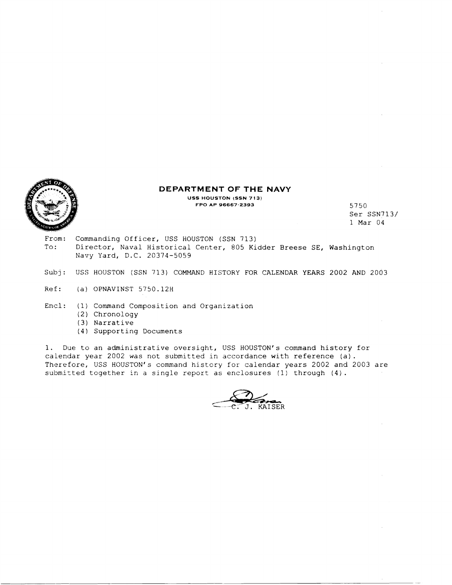

#### **DEPARTMENT OF THE NAVY**

**USS HOUSTON (SSN 713) FPO AP 96667-2393** 5750

**Ser** SSN713/ 1 Max <sup>04</sup>

- From: Commanding Officer, USS HOUSTON (SSN 713) To: Director, Naval Historical Center, 805 Kidder Breese SE, Washington Navy Yard, D.C. 20374-5059
- Subj: USS HOUSTON (SSN 713) COMMAND HISTORY FOR CALENDAR YEARS 2002 AND 2003
- Ref: **(a)** OPNAVINST 5750.12H
- End: (1) Command Composition and Organization
	- (2) Chronology
	- *(3)* Narrative
	- **(4)** Supporting Documents

1. Due to an administrative oversight, USS HOUSTON'S command history for calendar year 2002 was not submitted in accordance with reference (a). Therefore, USS HOUSTON's command history for calendar years 2002 and 2003 are submizted together in a single report as enclosures (1) through (4).

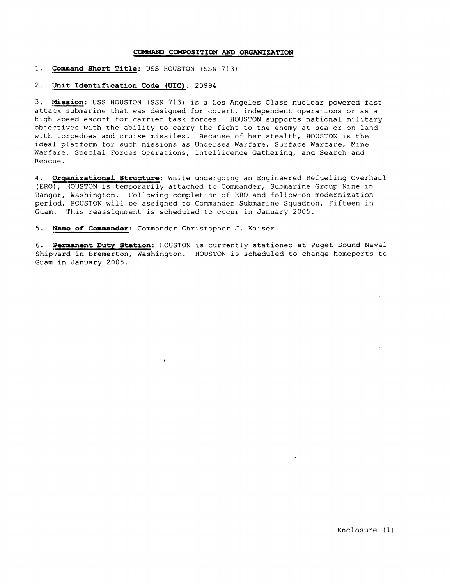## **COMMAND COMPOSITION AND ORGANIZATION**

# 1. Command Short Title: USS HOUSTON (SSN 713)

# 2. Unit Identification Code (UIC) : 20994

3. Mission: USS HOUSTON (SSN 713) is a Los Angeles Class nuclear powered fast attack submarine that was designed for covert, independent operations or as a high speed escort for carrier task forces. HOUSTON supports national military objectives with the ability to carry the fight to the enemy at sea or on land with torpedoes and cruise missiles. Because of her stealth, HOUSTON is the ideal platform for such missions as Undersea Warfare, Surface Warfare, Mine Warfare, Special Forces Operations, Intelligence Gathering, and Search and Rescue.

4. Organizational Structure: While undergoing an Engineered Refueling Overhaul (ERO') , HOUSTON is temporarily attached to Commander, Submarine Group Nine in Bangor, Washington. Following completion of ERO and follow-on modernization period, HOUSTON will be assigned to Commander Submarine Squadron, Fifteen in Guam. This reassignment is scheduled to occur in January 2005.

5. **Name of Commander**: Commander Christopher J. Kaiser.

6. **Permanent Duty Station:** HOUSTON is currently stationed at Puget Sound Naval Shipyard in Bremerton, Washington. HOUSTON is scheduled to change homeports to Guam in January 2005.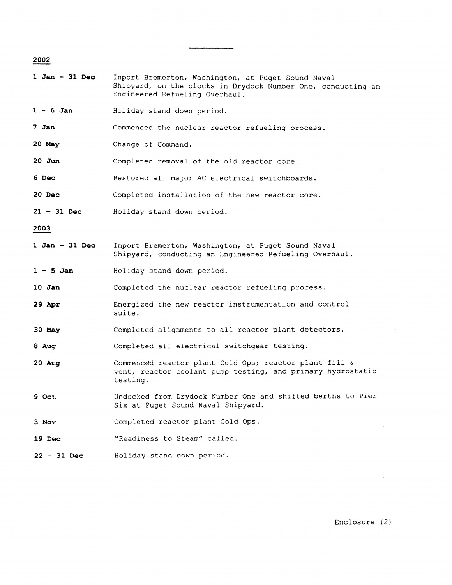| 2002              |                                                                                                                                                      |
|-------------------|------------------------------------------------------------------------------------------------------------------------------------------------------|
| $1 Jan - 31 Dec$  | Inport Bremerton, Washington, at Puget Sound Naval<br>Shipyard, on the blocks in Drydock Number One, conducting an<br>Engineered Refueling Overhaul. |
| $1 - 6$ Jan       | Holiday stand down period.                                                                                                                           |
| 7 Jan             | Commenced the nuclear reactor refueling process.                                                                                                     |
| $20$ May          | Change of Command.                                                                                                                                   |
| $20$ Jun          | Completed removal of the old reactor core.                                                                                                           |
| 6 Dec             | Restored all major AC electrical switchboards.                                                                                                       |
| $20$ Dec          | Completed installation of the new reactor core.                                                                                                      |
| $21 - 31$ Dec     | Holiday stand down period.                                                                                                                           |
| 2003              |                                                                                                                                                      |
| $1 Jan - 31 Dec$  | Inport Bremerton, Washington, at Puget Sound Naval<br>Shipyard, conducting an Engineered Refueling Overhaul.                                         |
| $1 - 5$ Jan       | Holiday stand down period.                                                                                                                           |
| 10 Jan            | Completed the nuclear reactor refueling process.                                                                                                     |
| $29$ Apr          | Energized the new reactor instrumentation and control<br>suite.                                                                                      |
| 30 May            | Completed alignments to all reactor plant detectors.                                                                                                 |
| 8 Aug             | Completed all electrical switchgear testing.                                                                                                         |
| $20$ Aug          | Commenced reactor plant Cold Ops; reactor plant fill &<br>vent, reactor coolant pump testing, and primary hydrostatic<br>testing.                    |
| 9 Oct             | Undocked from Drydock Number One and shifted berths to Pier<br>Six at Puget Sound Naval Shipyard.                                                    |
| 3 Nov             | Completed reactor plant Cold Ops.                                                                                                                    |
| 19 <sub>Dec</sub> | "Readiness to Steam" called.                                                                                                                         |

**<sup>22</sup>**- **<sup>31</sup>Dec**  Holiday stand down period.

Enclosure (2)

 $\mathcal{L}^{\text{max}}_{\text{max}}$ 

 $\sim 10^6$